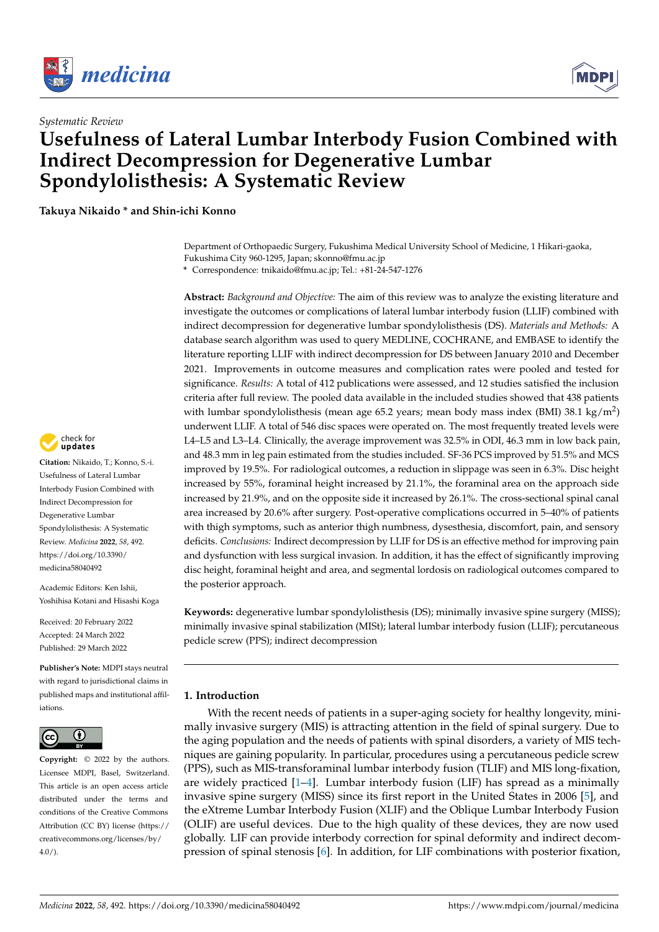



# **Usefulness of Lateral Lumbar Interbody Fusion Combined with Indirect Decompression for Degenerative Lumbar Spondylolisthesis: A Systematic Review**

**Takuya Nikaido \* and Shin-ichi Konno**

Department of Orthopaedic Surgery, Fukushima Medical University School of Medicine, 1 Hikari-gaoka, Fukushima City 960-1295, Japan; skonno@fmu.ac.jp

**\*** Correspondence: tnikaido@fmu.ac.jp; Tel.: +81-24-547-1276

**Abstract:** *Background and Objective:* The aim of this review was to analyze the existing literature and investigate the outcomes or complications of lateral lumbar interbody fusion (LLIF) combined with indirect decompression for degenerative lumbar spondylolisthesis (DS). *Materials and Methods:* A database search algorithm was used to query MEDLINE, COCHRANE, and EMBASE to identify the literature reporting LLIF with indirect decompression for DS between January 2010 and December 2021. Improvements in outcome measures and complication rates were pooled and tested for significance. *Results:* A total of 412 publications were assessed, and 12 studies satisfied the inclusion criteria after full review. The pooled data available in the included studies showed that 438 patients with lumbar spondylolisthesis (mean age 65.2 years; mean body mass index (BMI) 38.1 kg/m<sup>2</sup>) underwent LLIF. A total of 546 disc spaces were operated on. The most frequently treated levels were L4–L5 and L3–L4. Clinically, the average improvement was 32.5% in ODI, 46.3 mm in low back pain, and 48.3 mm in leg pain estimated from the studies included. SF-36 PCS improved by 51.5% and MCS improved by 19.5%. For radiological outcomes, a reduction in slippage was seen in 6.3%. Disc height increased by 55%, foraminal height increased by 21.1%, the foraminal area on the approach side increased by 21.9%, and on the opposite side it increased by 26.1%. The cross-sectional spinal canal area increased by 20.6% after surgery. Post-operative complications occurred in 5–40% of patients with thigh symptoms, such as anterior thigh numbness, dysesthesia, discomfort, pain, and sensory deficits. *Conclusions:* Indirect decompression by LLIF for DS is an effective method for improving pain and dysfunction with less surgical invasion. In addition, it has the effect of significantly improving disc height, foraminal height and area, and segmental lordosis on radiological outcomes compared to the posterior approach.

**Keywords:** degenerative lumbar spondylolisthesis (DS); minimally invasive spine surgery (MISS); minimally invasive spinal stabilization (MISt); lateral lumbar interbody fusion (LLIF); percutaneous pedicle screw (PPS); indirect decompression

# **1. Introduction**

With the recent needs of patients in a super-aging society for healthy longevity, minimally invasive surgery (MIS) is attracting attention in the field of spinal surgery. Due to the aging population and the needs of patients with spinal disorders, a variety of MIS techniques are gaining popularity. In particular, procedures using a percutaneous pedicle screw (PPS), such as MIS-transforaminal lumbar interbody fusion (TLIF) and MIS long-fixation, are widely practiced  $[1-4]$  $[1-4]$ . Lumbar interbody fusion (LIF) has spread as a minimally invasive spine surgery (MISS) since its first report in the United States in 2006 [\[5\]](#page-9-2), and the eXtreme Lumbar Interbody Fusion (XLIF) and the Oblique Lumbar Interbody Fusion (OLIF) are useful devices. Due to the high quality of these devices, they are now used globally. LIF can provide interbody correction for spinal deformity and indirect decompression of spinal stenosis [\[6\]](#page-9-3). In addition, for LIF combinations with posterior fixation,



**Citation:** Nikaido, T.; Konno, S.-i. Usefulness of Lateral Lumbar Interbody Fusion Combined with Indirect Decompression for Degenerative Lumbar Spondylolisthesis: A Systematic Review. *Medicina* **2022**, *58*, 492. [https://doi.org/10.3390/](https://doi.org/10.3390/medicina58040492) [medicina58040492](https://doi.org/10.3390/medicina58040492)

Academic Editors: Ken Ishii, Yoshihisa Kotani and Hisashi Koga

Received: 20 February 2022 Accepted: 24 March 2022 Published: 29 March 2022

**Publisher's Note:** MDPI stays neutral with regard to jurisdictional claims in published maps and institutional affiliations.



**Copyright:** © 2022 by the authors. Licensee MDPI, Basel, Switzerland. This article is an open access article distributed under the terms and conditions of the Creative Commons Attribution (CC BY) license [\(https://](https://creativecommons.org/licenses/by/4.0/) [creativecommons.org/licenses/by/](https://creativecommons.org/licenses/by/4.0/) **Example 10.00**<br>
Systematic Review<br> **USEfulness of Late**<br> **USEfulness of Late**<br> **Indirect Decompre**<br> **Spondylolisthesis:**<br>
Takuya Nikaido \* and Shin-ichi K<br>
Depart Fukuya Nikaido \* and Shin-ichi B<br>
Takuya Nikaido \* and Shi

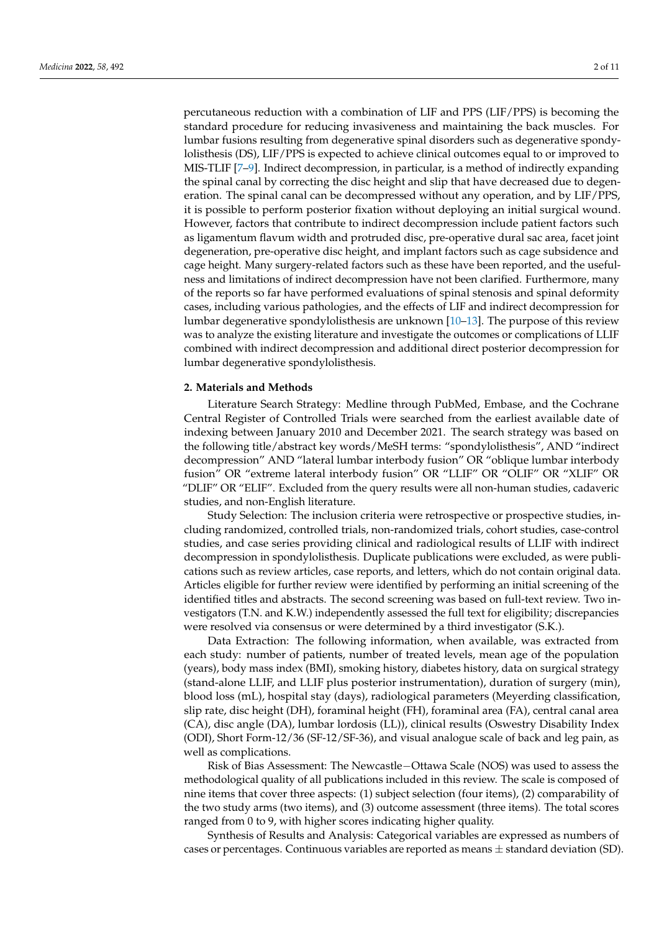percutaneous reduction with a combination of LIF and PPS (LIF/PPS) is becoming the standard procedure for reducing invasiveness and maintaining the back muscles. For lumbar fusions resulting from degenerative spinal disorders such as degenerative spondylolisthesis (DS), LIF/PPS is expected to achieve clinical outcomes equal to or improved to MIS-TLIF [\[7–](#page-9-4)[9\]](#page-9-5). Indirect decompression, in particular, is a method of indirectly expanding the spinal canal by correcting the disc height and slip that have decreased due to degeneration. The spinal canal can be decompressed without any operation, and by LIF/PPS, it is possible to perform posterior fixation without deploying an initial surgical wound. However, factors that contribute to indirect decompression include patient factors such as ligamentum flavum width and protruded disc, pre-operative dural sac area, facet joint degeneration, pre-operative disc height, and implant factors such as cage subsidence and cage height. Many surgery-related factors such as these have been reported, and the usefulness and limitations of indirect decompression have not been clarified. Furthermore, many of the reports so far have performed evaluations of spinal stenosis and spinal deformity cases, including various pathologies, and the effects of LIF and indirect decompression for lumbar degenerative spondylolisthesis are unknown [\[10–](#page-9-6)[13\]](#page-9-7). The purpose of this review was to analyze the existing literature and investigate the outcomes or complications of LLIF combined with indirect decompression and additional direct posterior decompression for lumbar degenerative spondylolisthesis.

#### **2. Materials and Methods**

Literature Search Strategy: Medline through PubMed, Embase, and the Cochrane Central Register of Controlled Trials were searched from the earliest available date of indexing between January 2010 and December 2021. The search strategy was based on the following title/abstract key words/MeSH terms: "spondylolisthesis", AND "indirect decompression" AND "lateral lumbar interbody fusion" OR "oblique lumbar interbody fusion" OR "extreme lateral interbody fusion" OR "LLIF" OR "OLIF" OR "XLIF" OR "DLIF" OR "ELIF". Excluded from the query results were all non-human studies, cadaveric studies, and non-English literature.

Study Selection: The inclusion criteria were retrospective or prospective studies, including randomized, controlled trials, non-randomized trials, cohort studies, case-control studies, and case series providing clinical and radiological results of LLIF with indirect decompression in spondylolisthesis. Duplicate publications were excluded, as were publications such as review articles, case reports, and letters, which do not contain original data. Articles eligible for further review were identified by performing an initial screening of the identified titles and abstracts. The second screening was based on full-text review. Two investigators (T.N. and K.W.) independently assessed the full text for eligibility; discrepancies were resolved via consensus or were determined by a third investigator (S.K.).

Data Extraction: The following information, when available, was extracted from each study: number of patients, number of treated levels, mean age of the population (years), body mass index (BMI), smoking history, diabetes history, data on surgical strategy (stand-alone LLIF, and LLIF plus posterior instrumentation), duration of surgery (min), blood loss (mL), hospital stay (days), radiological parameters (Meyerding classification, slip rate, disc height (DH), foraminal height (FH), foraminal area (FA), central canal area (CA), disc angle (DA), lumbar lordosis (LL)), clinical results (Oswestry Disability Index (ODI), Short Form-12/36 (SF-12/SF-36), and visual analogue scale of back and leg pain, as well as complications.

Risk of Bias Assessment: The Newcastle−Ottawa Scale (NOS) was used to assess the methodological quality of all publications included in this review. The scale is composed of nine items that cover three aspects: (1) subject selection (four items), (2) comparability of the two study arms (two items), and (3) outcome assessment (three items). The total scores ranged from 0 to 9, with higher scores indicating higher quality.

Synthesis of Results and Analysis: Categorical variables are expressed as numbers of cases or percentages. Continuous variables are reported as means  $\pm$  standard deviation (SD).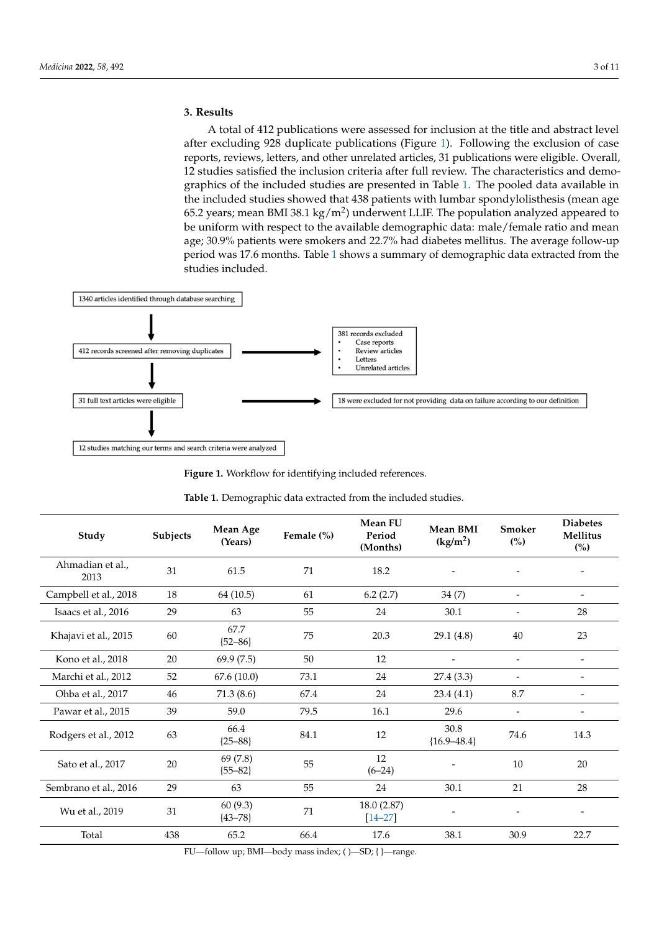#### **3. Results**  $\boldsymbol{\mathrm{Results}}$

A total of 412 publications were assessed for inclusion at the title and abstract level after excluding 928 duplicate publications (Figure 1). Following the exclusion of case reports, reviews, letters, and other unrelated articles, 31 publications were eligible. Overall, 12 studies satisfied the inclusion criteria after full review. The characteristics and demo-mographics of the included studies are presented in Table 1. The pooled data available in graphics of the included studies are presented in Table [1.](#page-2-1) The pooled data available in the included studies showed that 438 patients with lumbar spondylolisthesis (mean age the included studies showed that 438 patients with lumbar spondylolisthesis (mean age 65.2 years; mean BMI 38.1 kg/m<sup>2</sup>) underwent LLIF. The population analyzed appeared to be uniform with respect to the available demographic data: male/female ratio and mean be uniform with respect to the available demographic data: male/female ratio and mean age; 30.9% patients were smokers and 22.7% had diabetes mellitus. The average follow-up age; 30.9% patients were smokers and 22.7% had diabetes mellitus. The average follow-period was 17.6 months. [Ta](#page-2-1)ble 1 shows a summary of demographic data extracted from the studies included.

<span id="page-2-0"></span>



| Study                    | Subjects | Mean Age<br>(Years)    | Female (%) | Mean FU<br>Period<br>(Months) | <b>Mean BMI</b><br>(kg/m <sup>2</sup> ) | Smoker<br>(%)            | <b>Diabetes</b><br>Mellitus<br>(%) |
|--------------------------|----------|------------------------|------------|-------------------------------|-----------------------------------------|--------------------------|------------------------------------|
| Ahmadian et al.,<br>2013 | 31       | 61.5                   | 71         | 18.2                          |                                         | $\overline{a}$           | $\overline{\phantom{0}}$           |
| Campbell et al., 2018    | 18       | 64(10.5)               | 61         | 6.2(2.7)                      | 34(7)                                   | $\overline{\phantom{a}}$ |                                    |
| Isaacs et al., 2016      | 29       | 63                     | 55         | 24                            | 30.1                                    |                          | 28                                 |
| Khajavi et al., 2015     | 60       | 67.7<br>${52-86}$      | 75         | 20.3                          | 29.1(4.8)                               | 40                       | 23                                 |
| Kono et al., 2018        | 20       | 69.9(7.5)              | 50         | 12                            | $\overline{\phantom{m}}$                | $\overline{\phantom{a}}$ | $\overline{\phantom{a}}$           |
| Marchi et al., 2012      | 52       | 67.6(10.0)             | 73.1       | 24                            | 27.4(3.3)                               | $\blacksquare$           |                                    |
| Ohba et al., 2017        | 46       | 71.3(8.6)              | 67.4       | 24                            | 23.4(4.1)                               | 8.7                      |                                    |
| Pawar et al., 2015       | 39       | 59.0                   | 79.5       | 16.1                          | 29.6                                    | $\overline{\phantom{a}}$ | $\overline{\phantom{a}}$           |
| Rodgers et al., 2012     | 63       | 66.4<br>${25-88}$      | 84.1       | 12                            | 30.8<br>${16.9 - 48.4}$                 | 74.6                     | 14.3                               |
| Sato et al., 2017        | 20       | 69 (7.8)<br>${55-82}$  | 55         | 12<br>$(6-24)$                |                                         | 10                       | 20                                 |
| Sembrano et al., 2016    | 29       | 63                     | 55         | 24                            | 30.1                                    | 21                       | 28                                 |
| Wu et al., 2019          | 31       | 60(9.3)<br>${43 - 78}$ | 71         | 18.0(2.87)<br>$[14 - 27]$     |                                         |                          |                                    |
| Total                    | 438      | 65.2                   | 66.4       | 17.6                          | 38.1                                    | 30.9                     | 22.7                               |

<span id="page-2-1"></span>**Table 1.** Demographic data extracted from the included studies. **Table 1.** Demographic data extracted from the included studies.

FU—follow up; BMI—body mass index; ( )—SD; ( )—range. FU—follow up; BMI—body mass index; ( )—SD; { }—range.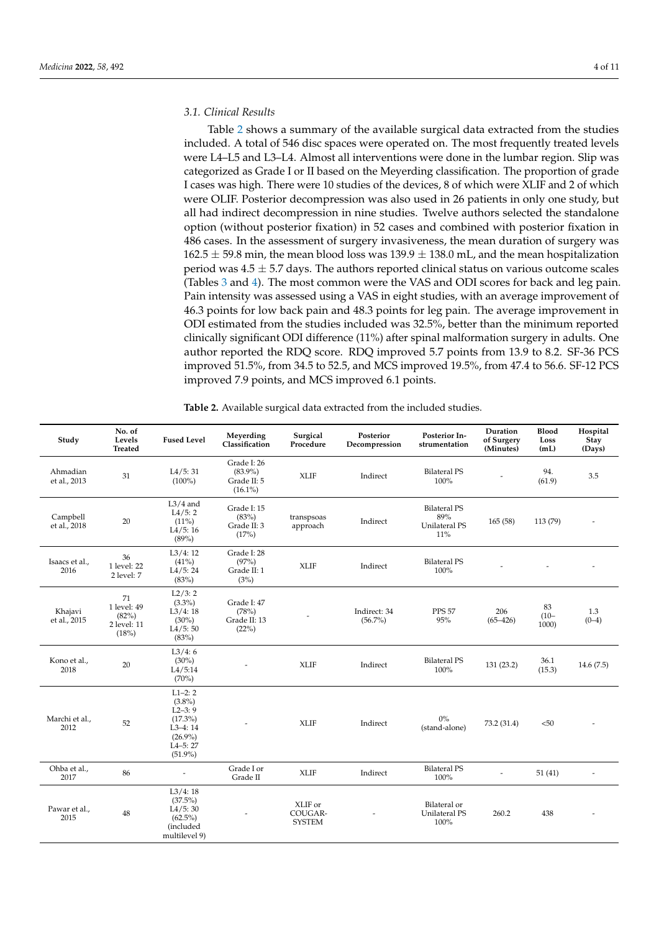### *3.1. Clinical Results*

Table [2](#page-3-0) shows a summary of the available surgical data extracted from the studies included. A total of 546 disc spaces were operated on. The most frequently treated levels were L4–L5 and L3–L4. Almost all interventions were done in the lumbar region. Slip was categorized as Grade I or II based on the Meyerding classification. The proportion of grade I cases was high. There were 10 studies of the devices, 8 of which were XLIF and 2 of which were OLIF. Posterior decompression was also used in 26 patients in only one study, but all had indirect decompression in nine studies. Twelve authors selected the standalone option (without posterior fixation) in 52 cases and combined with posterior fixation in 486 cases. In the assessment of surgery invasiveness, the mean duration of surgery was  $162.5 \pm 59.8$  min, the mean blood loss was  $139.9 \pm 138.0$  mL, and the mean hospitalization period was  $4.5 \pm 5.7$  days. The authors reported clinical status on various outcome scales (Tables [3](#page-4-0) and [4\)](#page-5-0). The most common were the VAS and ODI scores for back and leg pain. Pain intensity was assessed using a VAS in eight studies, with an average improvement of 46.3 points for low back pain and 48.3 points for leg pain. The average improvement in ODI estimated from the studies included was 32.5%, better than the minimum reported clinically significant ODI difference (11%) after spinal malformation surgery in adults. One author reported the RDQ score. RDQ improved 5.7 points from 13.9 to 8.2. SF-36 PCS improved 51.5%, from 34.5 to 52.5, and MCS improved 19.5%, from 47.4 to 56.6. SF-12 PCS improved 7.9 points, and MCS improved 6.1 points.

| Study                    | No. of<br>Levels<br><b>Treated</b>                 | <b>Fused Level</b>                                                                                      | Meyerding<br>Classification                            | Surgical<br>Procedure               | Posterior<br>Decompression | Posterior In-<br>strumentation                     | <b>Duration</b><br>of Surgery<br>(Minutes) | Blood<br>Loss<br>(mL)  | Hospital<br><b>Stay</b><br>(Days) |
|--------------------------|----------------------------------------------------|---------------------------------------------------------------------------------------------------------|--------------------------------------------------------|-------------------------------------|----------------------------|----------------------------------------------------|--------------------------------------------|------------------------|-----------------------------------|
| Ahmadian<br>et al., 2013 | 31                                                 | L4/5:31<br>$(100\%)$                                                                                    | Grade I: 26<br>$(83.9\%)$<br>Grade II: 5<br>$(16.1\%)$ | <b>XLIF</b>                         | Indirect                   | <b>Bilateral PS</b><br>100%                        |                                            | 94.<br>(61.9)          | 3.5                               |
| Campbell<br>et al., 2018 | 20                                                 | $L3/4$ and<br>L4/5:2<br>$(11\%)$<br>L4/5:16<br>(89%)                                                    | Grade I: 15<br>(83%)<br>Grade II: 3<br>(17%)           | transpsoas<br>approach              | Indirect                   | <b>Bilateral PS</b><br>89%<br>Unilateral PS<br>11% | 165(58)                                    | 113 (79)               |                                   |
| Isaacs et al.,<br>2016   | 36<br>1 level: 22<br>2 level: 7                    | L3/4:12<br>$(41\%)$<br>L4/5:24<br>(83%)                                                                 | Grade I: 28<br>(97%)<br>Grade II: 1<br>(3%)            | <b>XLIF</b>                         | Indirect                   | <b>Bilateral PS</b><br>100%                        |                                            |                        |                                   |
| Khajavi<br>et al., 2015  | 71<br>1 level: 49<br>(82%)<br>2 level: 11<br>(18%) | L2/3:2<br>$(3.3\%)$<br>L3/4:18<br>$(30\%)$<br>L4/5:50<br>(83%)                                          | Grade I: 47<br>(78%)<br>Grade II: 13<br>(22%)          |                                     | Indirect: 34<br>$(56.7\%)$ | <b>PPS 57</b><br>$95\%$                            | 206<br>$(65 - 426)$                        | 83<br>$(10 -$<br>1000) | 1.3<br>$(0-4)$                    |
| Kono et al.,<br>2018     | 20                                                 | L3/4:6<br>$(30\%)$<br>L4/5:14<br>(70%)                                                                  |                                                        | <b>XLIF</b>                         | Indirect                   | <b>Bilateral PS</b><br>100%                        | 131 (23.2)                                 | 36.1<br>(15.3)         | 14.6(7.5)                         |
| Marchi et al.,<br>2012   | 52                                                 | $L1-2:2$<br>$(3.8\%)$<br>$L2-3:9$<br>$(17.3\%)$<br>$L3-4:14$<br>$(26.9\%)$<br>$L4 - 5:27$<br>$(51.9\%)$ |                                                        | <b>XLIF</b>                         | Indirect                   | $0\%$<br>(stand-alone)                             | 73.2 (31.4)                                | $50$                   |                                   |
| Ohba et al.,<br>2017     | 86                                                 | $\overline{\phantom{a}}$                                                                                | Grade I or<br>Grade II                                 | <b>XLIF</b>                         | Indirect                   | <b>Bilateral PS</b><br>100%                        | $\overline{\phantom{0}}$                   | 51(41)                 | $\overline{a}$                    |
| Pawar et al.,<br>2015    | 48                                                 | L3/4:18<br>$(37.5\%)$<br>L4/5:30<br>$(62.5\%)$<br>(included<br>multilevel 9)                            |                                                        | XLIF or<br>COUGAR-<br><b>SYSTEM</b> |                            | Bilateral or<br>Unilateral PS<br>100%              | 260.2                                      | 438                    |                                   |

<span id="page-3-0"></span>**Table 2.** Available surgical data extracted from the included studies.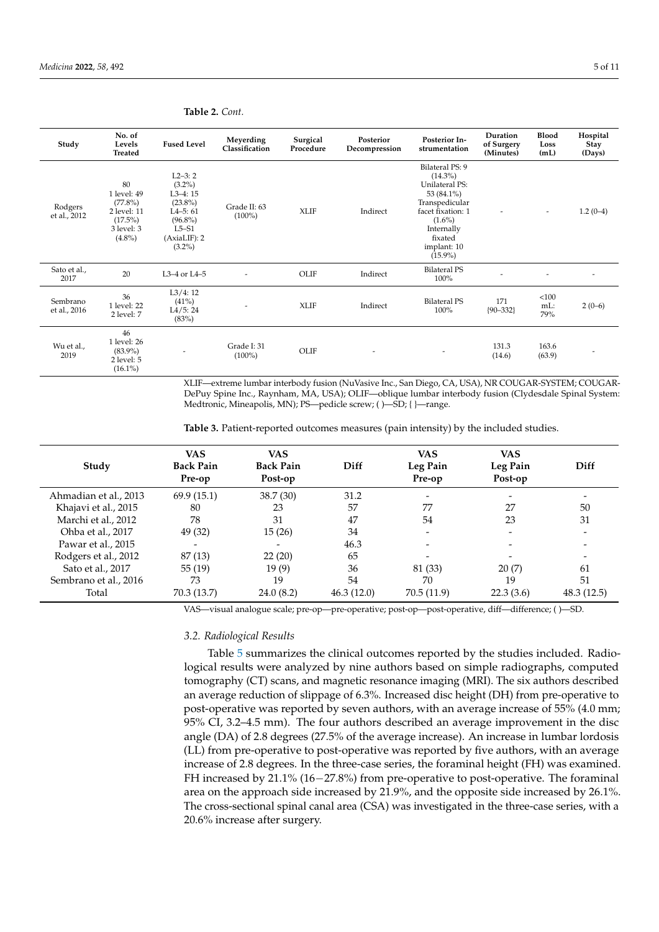| Study                    | No. of<br>Levels<br><b>Treated</b>                                                      | <b>Fused Level</b>                                                                                                 | Meyerding<br>Classification | Surgical<br>Procedure | Posterior<br>Decompression | <b>Posterior In-</b><br>strumentation                                                                                                                                   | Duration<br>of Surgery<br>(Minutes) | Blood<br>Loss<br>(mL)    | Hospital<br>Stay<br>(Days) |
|--------------------------|-----------------------------------------------------------------------------------------|--------------------------------------------------------------------------------------------------------------------|-----------------------------|-----------------------|----------------------------|-------------------------------------------------------------------------------------------------------------------------------------------------------------------------|-------------------------------------|--------------------------|----------------------------|
| Rodgers<br>et al., 2012  | 80<br>1 level: 49<br>$(77.8\%)$<br>2 level: 11<br>$(17.5\%)$<br>3 level: 3<br>$(4.8\%)$ | $L2-3:2$<br>$(3.2\%)$<br>$L3-4:15$<br>$(23.8\%)$<br>$L4-5:61$<br>$(96.8\%)$<br>$L5-51$<br>(AxiLIF): 2<br>$(3.2\%)$ | Grade II: 63<br>$(100\%)$   | <b>XLIF</b>           | Indirect                   | Bilateral PS: 9<br>$(14.3\%)$<br>Unilateral PS:<br>53 (84.1%)<br>Transpedicular<br>facet fixation: 1<br>$(1.6\%)$<br>Internally<br>fixated<br>implant: 10<br>$(15.9\%)$ |                                     | $\overline{\phantom{a}}$ | $1.2(0-4)$                 |
| Sato et al.,<br>2017     | 20                                                                                      | L3-4 or L4-5                                                                                                       |                             | OLIF                  | Indirect                   | <b>Bilateral PS</b><br>100%                                                                                                                                             |                                     |                          |                            |
| Sembrano<br>et al., 2016 | 36<br>1 level: 22<br>2 level: 7                                                         | L3/4:12<br>(41%)<br>L4/5:24<br>(83%)                                                                               | $\overline{\phantom{a}}$    | <b>XLIF</b>           | Indirect                   | <b>Bilateral PS</b><br>100%                                                                                                                                             | 171<br>${90 - 332}$                 | <100<br>mL:<br>79%       | $2(0-6)$                   |
| Wu et al.,<br>2019       | 46<br>1 level: 26<br>$(83.9\%)$<br>2 level: 5<br>$(16.1\%)$                             | $\overline{\phantom{a}}$                                                                                           | Grade I: 31<br>$(100\%)$    | OLIF                  | $\overline{a}$             | $\overline{\phantom{a}}$                                                                                                                                                | 131.3<br>(14.6)                     | 163.6<br>(63.9)          | -                          |

**Table 2.** *Cont.*

XLIF—extreme lumbar interbody fusion (NuVasive Inc., San Diego, CA, USA), NR COUGAR-SYSTEM; COUGAR-DePuy Spine Inc., Raynham, MA, USA); OLIF—oblique lumbar interbody fusion (Clydesdale Spinal System: Medtronic, Mineapolis, MN); PS—pedicle screw; ( )—SD; { }—range.

<span id="page-4-0"></span>**Table 3.** Patient-reported outcomes measures (pain intensity) by the included studies.

| Study                 | <b>VAS</b><br><b>Back Pain</b><br>Pre-op | <b>VAS</b><br><b>Back Pain</b><br>Post-op                                                                                                                                                                                                                         | Diff       | <b>VAS</b><br>Leg Pain<br>Pre-op | <b>VAS</b><br>Leg Pain<br>Post-op | Diff                         |
|-----------------------|------------------------------------------|-------------------------------------------------------------------------------------------------------------------------------------------------------------------------------------------------------------------------------------------------------------------|------------|----------------------------------|-----------------------------------|------------------------------|
| Ahmadian et al., 2013 | 69.9(15.1)                               | 38.7(30)                                                                                                                                                                                                                                                          | 31.2       |                                  |                                   |                              |
| Khajavi et al., 2015  | 80                                       | 23                                                                                                                                                                                                                                                                | 57         | 77                               | 27                                | 50                           |
| Marchi et al., 2012   | 78                                       | 31                                                                                                                                                                                                                                                                | 47         | 54                               | 23                                | 31                           |
| Ohba et al., 2017     | 49 (32)                                  | 15(26)                                                                                                                                                                                                                                                            | 34         |                                  |                                   |                              |
| Pawar et al., 2015    |                                          |                                                                                                                                                                                                                                                                   | 46.3       |                                  |                                   | $\qquad \qquad \blacksquare$ |
| Rodgers et al., 2012  | 87(13)                                   | 22(20)                                                                                                                                                                                                                                                            | 65         |                                  |                                   |                              |
| Sato et al., 2017     | 55 (19)                                  | 19(9)                                                                                                                                                                                                                                                             | 36         | 81 (33)                          | 20(7)                             | 61                           |
| Sembrano et al., 2016 | 73                                       | 19                                                                                                                                                                                                                                                                | 54         | 70                               | 19                                | 51                           |
| Total                 | 70.3 (13.7)                              | 24.0(8.2)<br>$\mathcal{M} \cap \mathcal{M} \cap \mathcal{M}$ is the contract of the contract of the contract of the contract of the contract of the contract of the contract of the contract of the contract of the contract of the contract of the contract of t | 46.3(12.0) | 70.5 (11.9)                      | 22.3(3.6)                         | 48.3(12.5)                   |

VAS—visual analogue scale; pre-op—pre-operative; post-op—post-operative, diff—difference; ( )—SD.

# *3.2. Radiological Results*

Table [5](#page-6-0) summarizes the clinical outcomes reported by the studies included. Radiological results were analyzed by nine authors based on simple radiographs, computed tomography (CT) scans, and magnetic resonance imaging (MRI). The six authors described an average reduction of slippage of 6.3%. Increased disc height (DH) from pre-operative to post-operative was reported by seven authors, with an average increase of 55% (4.0 mm; 95% CI, 3.2–4.5 mm). The four authors described an average improvement in the disc angle (DA) of 2.8 degrees (27.5% of the average increase). An increase in lumbar lordosis (LL) from pre-operative to post-operative was reported by five authors, with an average increase of 2.8 degrees. In the three-case series, the foraminal height (FH) was examined. FH increased by 21.1% (16−27.8%) from pre-operative to post-operative. The foraminal area on the approach side increased by 21.9%, and the opposite side increased by 26.1%. The cross-sectional spinal canal area (CSA) was investigated in the three-case series, with a 20.6% increase after surgery.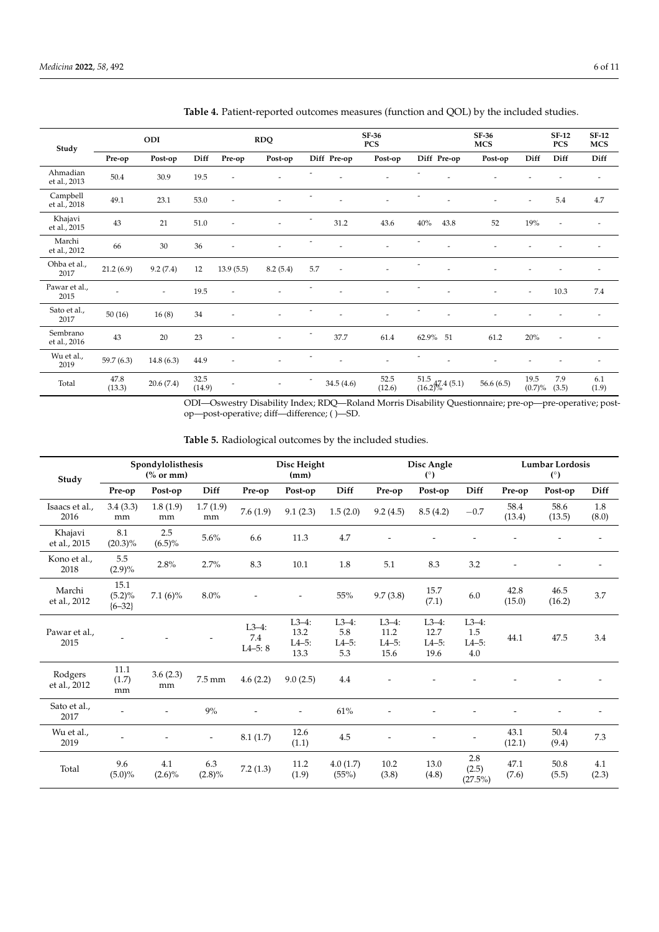| Study                    |                | ODI       |                |                          | <b>RDQ</b>               |     |                          | <b>SF-36</b><br><b>PCS</b> |          |                             | SF-36<br><b>MCS</b>      |                          | <b>SF-12</b><br><b>PCS</b> | <b>SF-12</b><br><b>MCS</b> |
|--------------------------|----------------|-----------|----------------|--------------------------|--------------------------|-----|--------------------------|----------------------------|----------|-----------------------------|--------------------------|--------------------------|----------------------------|----------------------------|
|                          | Pre-op         | Post-op   | Diff           | Pre-op                   | Post-op                  |     | Diff Pre-op              | Post-op                    |          | Diff Pre-op                 | Post-op                  | Diff                     | Diff                       | Diff                       |
| Ahmadian<br>et al., 2013 | 50.4           | 30.9      | 19.5           |                          |                          |     |                          |                            |          |                             |                          |                          |                            |                            |
| Campbell<br>et al., 2018 | 49.1           | 23.1      | 53.0           |                          | $\overline{\phantom{a}}$ |     | $\overline{\phantom{a}}$ | $\overline{\phantom{a}}$   |          | $\overline{\phantom{a}}$    | ٠                        | $\overline{\phantom{a}}$ | 5.4                        | 4.7                        |
| Khajavi<br>et al., 2015  | 43             | 21        | 51.0           |                          |                          |     | 31.2                     | 43.6                       | 40%      | 43.8                        | 52                       | 19%                      |                            |                            |
| Marchi<br>et al., 2012   | 66             | 30        | 36             |                          |                          |     | ٠                        |                            |          |                             |                          |                          |                            |                            |
| Ohba et al.,<br>2017     | 21.2(6.9)      | 9.2(7.4)  | 12             | 13.9(5.5)                | 8.2(5.4)                 | 5.7 | $\overline{a}$           |                            |          |                             |                          |                          |                            |                            |
| Pawar et al.,<br>2015    | ٠              | $\sim$    | 19.5           | $\overline{\phantom{a}}$ | $\overline{\phantom{a}}$ |     | $\overline{\phantom{a}}$ | $\overline{\phantom{a}}$   |          | $\overline{\phantom{a}}$    | $\overline{\phantom{a}}$ | $\overline{\phantom{a}}$ | 10.3                       | 7.4                        |
| Sato et al.,<br>2017     | 50(16)         | 16(8)     | 34             |                          |                          |     |                          | $\overline{\phantom{a}}$   |          |                             |                          |                          |                            |                            |
| Sembrano<br>et al., 2016 | 43             | 20        | 23             |                          |                          |     | 37.7                     | 61.4                       | 62.9% 51 |                             | 61.2                     | 20%                      |                            |                            |
| Wu et al.,<br>2019       | 59.7(6.3)      | 14.8(6.3) | 44.9           |                          |                          |     |                          |                            |          |                             |                          |                          |                            |                            |
| Total                    | 47.8<br>(13.3) | 20.6(7.4) | 32.5<br>(14.9) | $\overline{\phantom{a}}$ | $\overline{\phantom{a}}$ |     | 34.5(4.6)                | 52.5<br>(12.6)             | 51.5     | $^{51.5}_{(16.2)\%}$ 4(5.1) | 56.6 $(6.5)$             | 19.5<br>(0.7)%           | 7.9<br>(3.5)               | 6.1<br>(1.9)               |

<span id="page-5-0"></span>**Table 4.** Patient-reported outcomes measures (function and QOL) by the included studies.

ODI—Oswestry Disability Index; RDQ—Roland Morris Disability Questionnaire; pre-op—pre-operative; postop—post-operative; diff—difference; ( )—SD.

**Table 5.** Radiological outcomes by the included studies.

| Study                   |                               | Spondylolisthesis<br>$\frac{6}{2}$ or mm) |                          | Disc Height<br>(mm)        |                                      |                                    |                                     | Disc Angle<br>(°)                    |                                    | <b>Lumbar Lordosis</b><br>(°) |                |              |  |
|-------------------------|-------------------------------|-------------------------------------------|--------------------------|----------------------------|--------------------------------------|------------------------------------|-------------------------------------|--------------------------------------|------------------------------------|-------------------------------|----------------|--------------|--|
|                         | Pre-op                        | Post-op                                   | Diff                     | Pre-op                     | Post-op                              | Diff                               | Pre-op                              | Post-op                              | Diff                               | Pre-op                        | Post-op        | Diff         |  |
| Isaacs et al.,<br>2016  | 3.4(3.3)<br>mm                | 1.8(1.9)<br>mm                            | 1.7(1.9)<br>mm           | 7.6(1.9)                   | 9.1(2.3)                             | 1.5(2.0)                           | 9.2(4.5)                            | 8.5(4.2)                             | $-0.7$                             | 58.4<br>(13.4)                | 58.6<br>(13.5) | 1.8<br>(8.0) |  |
| Khajavi<br>et al., 2015 | 8.1<br>$(20.3)\%$             | 2.5<br>$(6.5)\%$                          | 5.6%                     | 6.6                        | 11.3                                 | 4.7                                |                                     |                                      |                                    |                               |                |              |  |
| Kono et al.,<br>2018    | 5.5<br>$(2.9)\%$              | 2.8%                                      | 2.7%                     | 8.3                        | 10.1                                 | $1.8\,$                            | 5.1                                 | 8.3                                  | 3.2                                |                               |                |              |  |
| Marchi<br>et al., 2012  | 15.1<br>$(5.2)\%$<br>${6-32}$ | $7.1(6)\%$                                | 8.0%                     |                            |                                      | 55%                                | 9.7(3.8)                            | 15.7<br>(7.1)                        | 6.0                                | 42.8<br>(15.0)                | 46.5<br>(16.2) | 3.7          |  |
| Pawar et al.,<br>2015   |                               |                                           |                          | $L3-4:$<br>7.4<br>$L4-5:8$ | $L3-4:$<br>13.2<br>$L4 - 5:$<br>13.3 | $L3-4$ :<br>5.8<br>$L4-5$ :<br>5.3 | $L3-4:$<br>11.2<br>$L4-5$ :<br>15.6 | $L3-4$ :<br>12.7<br>$L4-5$ :<br>19.6 | $L3-4$ :<br>1.5<br>$L4-5$ :<br>4.0 | 44.1                          | 47.5           | 3.4          |  |
| Rodgers<br>et al., 2012 | 11.1<br>(1.7)<br>mm           | 3.6(2.3)<br>mm                            | 7.5 mm                   | 4.6(2.2)                   | 9.0(2.5)                             | 4.4                                |                                     |                                      |                                    |                               |                |              |  |
| Sato et al.,<br>2017    |                               |                                           | $9\%$                    |                            |                                      | $61\%$                             |                                     |                                      |                                    |                               |                |              |  |
| Wu et al.,<br>2019      |                               |                                           | $\overline{\phantom{a}}$ | 8.1(1.7)                   | 12.6<br>(1.1)                        | $4.5\,$                            |                                     |                                      |                                    | 43.1<br>(12.1)                | 50.4<br>(9.4)  | 7.3          |  |
| Total                   | 9.6<br>$(5.0)\%$              | 4.1<br>$(2.6)\%$                          | 6.3<br>$(2.8)\%$         | 7.2(1.3)                   | 11.2<br>(1.9)                        | 4.0(1.7)<br>(55%)                  | 10.2<br>(3.8)                       | 13.0<br>(4.8)                        | 2.8<br>(2.5)<br>$(27.5\%)$         | 47.1<br>(7.6)                 | 50.8<br>(5.5)  | 4.1<br>(2.3) |  |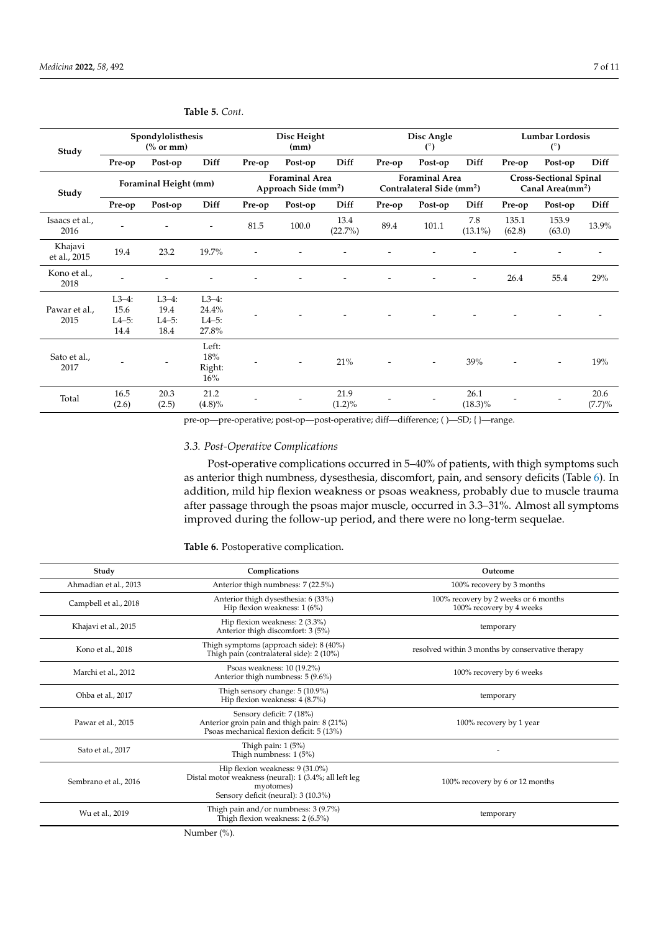| Study                   |                                      | Spondylolisthesis<br>$\frac{6}{2}$ or mm) |                                        |                                                           | Disc Height<br>(mm) |                 | Disc Angle<br>(°)                                              |         |                    | <b>Lumbar Lordosis</b><br>(°)                                 |                 |                |
|-------------------------|--------------------------------------|-------------------------------------------|----------------------------------------|-----------------------------------------------------------|---------------------|-----------------|----------------------------------------------------------------|---------|--------------------|---------------------------------------------------------------|-----------------|----------------|
|                         | Pre-op                               | Post-op                                   | Diff                                   | Pre-op                                                    | Post-op             | Diff            | Pre-op                                                         | Post-op | Diff               | Pre-op                                                        | Post-op         | Diff           |
| Study                   | Foraminal Height (mm)                |                                           |                                        | <b>Foraminal Area</b><br>Approach Side (mm <sup>2</sup> ) |                     |                 | <b>Foraminal Area</b><br>Contralateral Side (mm <sup>2</sup> ) |         |                    | <b>Cross-Sectional Spinal</b><br>Canal Area(mm <sup>2</sup> ) |                 |                |
|                         | Pre-op                               | Post-op                                   | Diff                                   | Pre-op                                                    | Post-op             | Diff            | Pre-op                                                         | Post-op | Diff               | Pre-op                                                        | Post-op         | Diff           |
| Isaacs et al.,<br>2016  | $\overline{\phantom{a}}$             | $\overline{a}$                            | ٠                                      | 81.5                                                      | 100.0               | 13.4<br>(22.7%) | 89.4                                                           | 101.1   | 7.8<br>$(13.1\%)$  | 135.1<br>(62.8)                                               | 153.9<br>(63.0) | 13.9%          |
| Khajavi<br>et al., 2015 | 19.4                                 | 23.2                                      | 19.7%                                  |                                                           |                     |                 |                                                                |         |                    |                                                               |                 |                |
| Kono et al.,<br>2018    | $\overline{\phantom{a}}$             |                                           |                                        |                                                           |                     |                 |                                                                |         |                    | 26.4                                                          | 55.4            | 29%            |
| Pawar et al.,<br>2015   | $L3-4$ :<br>15.6<br>$I.4-5:$<br>14.4 | $L3-4$ :<br>19.4<br>$L4-5:$<br>18.4       | $L3-4$ :<br>24.4%<br>$L4-5$ :<br>27.8% |                                                           |                     |                 |                                                                |         |                    |                                                               |                 |                |
| Sato et al.,<br>2017    |                                      |                                           | Left:<br>18%<br>Right:<br>16%          |                                                           |                     | 21%             |                                                                |         | 39%                |                                                               |                 | 19%            |
| Total                   | 16.5<br>(2.6)                        | 20.3<br>(2.5)                             | 21.2<br>$(4.8)\%$                      |                                                           |                     | 21.9<br>(1.2)%  |                                                                |         | 26.1<br>$(18.3)\%$ |                                                               |                 | 20.6<br>(7.7)% |

<span id="page-6-0"></span>**Table 5.** *Cont.*

pre-op—pre-operative; post-op—post-operative; diff—difference; ( )—SD; { }—range.

# *3.3. Post-Operative Complications*

Post-operative complications occurred in 5–40% of patients, with thigh symptoms such as anterior thigh numbness, dysesthesia, discomfort, pain, and sensory deficits (Table [6\)](#page-6-1). In addition, mild hip flexion weakness or psoas weakness, probably due to muscle trauma after passage through the psoas major muscle, occurred in 3.3–31%. Almost all symptoms improved during the follow-up period, and there were no long-term sequelae.

<span id="page-6-1"></span>**Table 6.** Postoperative complication.

| Study                 | Complications                                                                                                                                | Outcome                                                          |
|-----------------------|----------------------------------------------------------------------------------------------------------------------------------------------|------------------------------------------------------------------|
| Ahmadian et al., 2013 | Anterior thigh numbness: 7 (22.5%)                                                                                                           | 100% recovery by 3 months                                        |
| Campbell et al., 2018 | Anterior thigh dysesthesia: 6 (33%)<br>Hip flexion weakness: 1 (6%)                                                                          | 100% recovery by 2 weeks or 6 months<br>100% recovery by 4 weeks |
| Khajavi et al., 2015  | Hip flexion weakness: 2 (3.3%)<br>Anterior thigh discomfort: 3 (5%)                                                                          | temporary                                                        |
| Kono et al., 2018     | Thigh symptoms (approach side): 8 (40%)<br>Thigh pain (contralateral side): 2 (10%)                                                          | resolved within 3 months by conservative therapy                 |
| Marchi et al., 2012   | Psoas weakness: 10 (19.2%)<br>Anterior thigh numbness: 5 (9.6%)                                                                              | 100% recovery by 6 weeks                                         |
| Ohba et al., 2017     | Thigh sensory change: 5 (10.9%)<br>Hip flexion weakness: 4 (8.7%)                                                                            | temporary                                                        |
| Pawar et al., 2015    | Sensory deficit: 7 (18%)<br>Anterior groin pain and thigh pain: 8 (21%)<br>Psoas mechanical flexion deficit: 5 (13%)                         | 100% recovery by 1 year                                          |
| Sato et al., 2017     | Thigh pain: $1(5%)$<br>Thigh numbness: $1(5%)$                                                                                               |                                                                  |
| Sembrano et al., 2016 | Hip flexion weakness: 9 (31.0%)<br>Distal motor weakness (neural): 1 (3.4%; all left leg<br>myotomes)<br>Sensory deficit (neural): 3 (10.3%) | 100% recovery by 6 or 12 months                                  |
| Wu et al., 2019       | Thigh pain and/or numbness: $3(9.7%)$<br>Thigh flexion weakness: 2 (6.5%)                                                                    | temporary                                                        |
|                       | Number (%).                                                                                                                                  |                                                                  |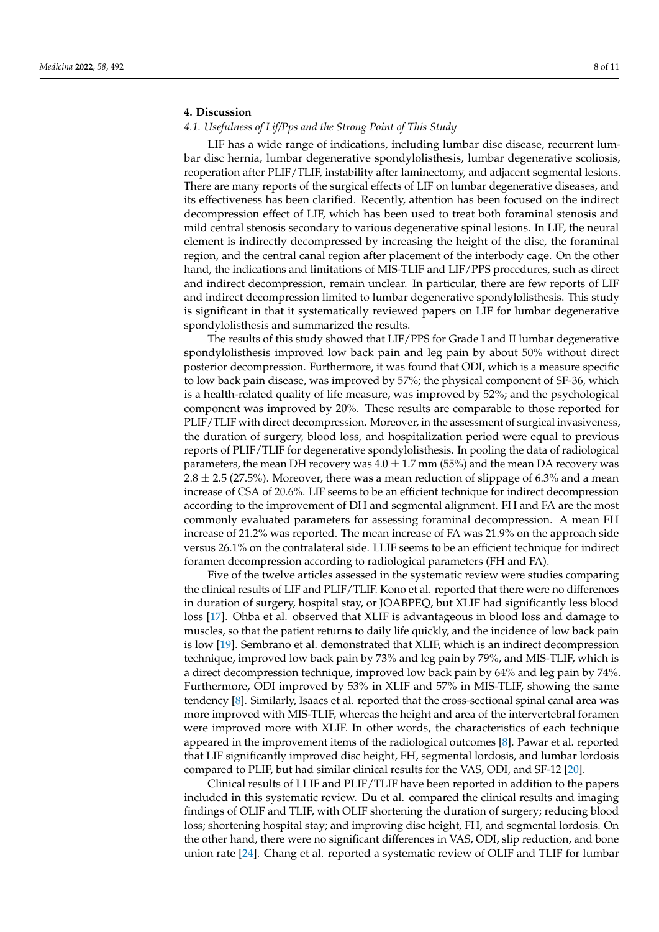# **4. Discussion**

# *4.1. Usefulness of Lif/Pps and the Strong Point of This Study*

LIF has a wide range of indications, including lumbar disc disease, recurrent lumbar disc hernia, lumbar degenerative spondylolisthesis, lumbar degenerative scoliosis, reoperation after PLIF/TLIF, instability after laminectomy, and adjacent segmental lesions. There are many reports of the surgical effects of LIF on lumbar degenerative diseases, and its effectiveness has been clarified. Recently, attention has been focused on the indirect decompression effect of LIF, which has been used to treat both foraminal stenosis and mild central stenosis secondary to various degenerative spinal lesions. In LIF, the neural element is indirectly decompressed by increasing the height of the disc, the foraminal region, and the central canal region after placement of the interbody cage. On the other hand, the indications and limitations of MIS-TLIF and LIF/PPS procedures, such as direct and indirect decompression, remain unclear. In particular, there are few reports of LIF and indirect decompression limited to lumbar degenerative spondylolisthesis. This study is significant in that it systematically reviewed papers on LIF for lumbar degenerative spondylolisthesis and summarized the results.

The results of this study showed that LIF/PPS for Grade I and II lumbar degenerative spondylolisthesis improved low back pain and leg pain by about 50% without direct posterior decompression. Furthermore, it was found that ODI, which is a measure specific to low back pain disease, was improved by 57%; the physical component of SF-36, which is a health-related quality of life measure, was improved by 52%; and the psychological component was improved by 20%. These results are comparable to those reported for PLIF/TLIF with direct decompression. Moreover, in the assessment of surgical invasiveness, the duration of surgery, blood loss, and hospitalization period were equal to previous reports of PLIF/TLIF for degenerative spondylolisthesis. In pooling the data of radiological parameters, the mean DH recovery was  $4.0 \pm 1.7$  mm (55%) and the mean DA recovery was  $2.8 \pm 2.5$  (27.5%). Moreover, there was a mean reduction of slippage of 6.3% and a mean increase of CSA of 20.6%. LIF seems to be an efficient technique for indirect decompression according to the improvement of DH and segmental alignment. FH and FA are the most commonly evaluated parameters for assessing foraminal decompression. A mean FH increase of 21.2% was reported. The mean increase of FA was 21.9% on the approach side versus 26.1% on the contralateral side. LLIF seems to be an efficient technique for indirect foramen decompression according to radiological parameters (FH and FA).

Five of the twelve articles assessed in the systematic review were studies comparing the clinical results of LIF and PLIF/TLIF. Kono et al. reported that there were no differences in duration of surgery, hospital stay, or JOABPEQ, but XLIF had significantly less blood loss [\[17\]](#page-9-9). Ohba et al. observed that XLIF is advantageous in blood loss and damage to muscles, so that the patient returns to daily life quickly, and the incidence of low back pain is low [\[19\]](#page-9-10). Sembrano et al. demonstrated that XLIF, which is an indirect decompression technique, improved low back pain by 73% and leg pain by 79%, and MIS-TLIF, which is a direct decompression technique, improved low back pain by 64% and leg pain by 74%. Furthermore, ODI improved by 53% in XLIF and 57% in MIS-TLIF, showing the same tendency [\[8\]](#page-9-11). Similarly, Isaacs et al. reported that the cross-sectional spinal canal area was more improved with MIS-TLIF, whereas the height and area of the intervertebral foramen were improved more with XLIF. In other words, the characteristics of each technique appeared in the improvement items of the radiological outcomes [\[8\]](#page-9-11). Pawar et al. reported that LIF significantly improved disc height, FH, segmental lordosis, and lumbar lordosis compared to PLIF, but had similar clinical results for the VAS, ODI, and SF-12 [\[20\]](#page-9-12).

Clinical results of LLIF and PLIF/TLIF have been reported in addition to the papers included in this systematic review. Du et al. compared the clinical results and imaging findings of OLIF and TLIF, with OLIF shortening the duration of surgery; reducing blood loss; shortening hospital stay; and improving disc height, FH, and segmental lordosis. On the other hand, there were no significant differences in VAS, ODI, slip reduction, and bone union rate [\[24\]](#page-10-1). Chang et al. reported a systematic review of OLIF and TLIF for lumbar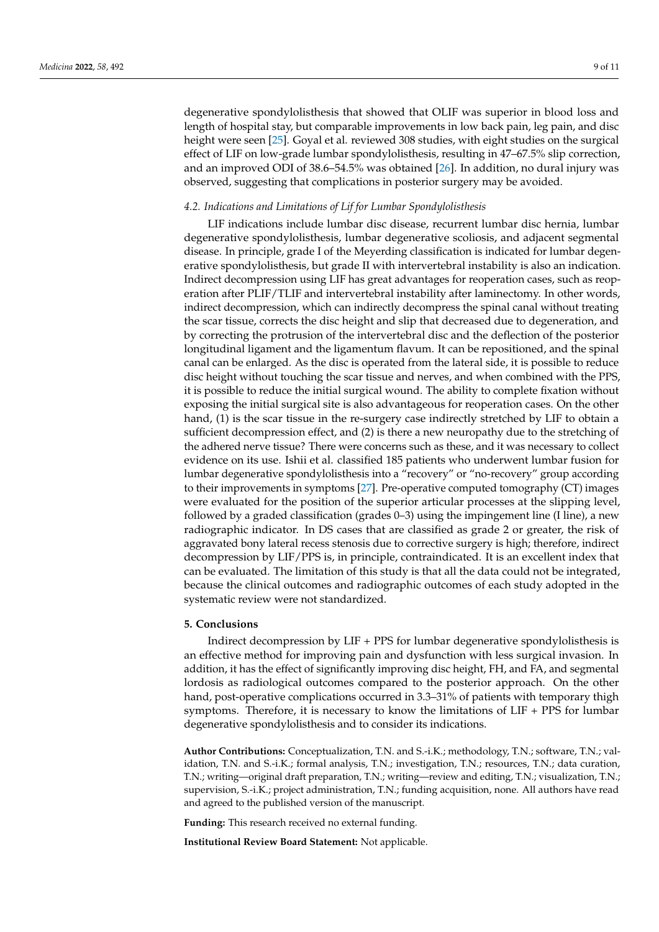degenerative spondylolisthesis that showed that OLIF was superior in blood loss and length of hospital stay, but comparable improvements in low back pain, leg pain, and disc height were seen [\[25\]](#page-10-2). Goyal et al. reviewed 308 studies, with eight studies on the surgical effect of LIF on low-grade lumbar spondylolisthesis, resulting in 47–67.5% slip correction, and an improved ODI of 38.6–54.5% was obtained [\[26\]](#page-10-3). In addition, no dural injury was observed, suggesting that complications in posterior surgery may be avoided.

#### *4.2. Indications and Limitations of Lif for Lumbar Spondylolisthesis*

LIF indications include lumbar disc disease, recurrent lumbar disc hernia, lumbar degenerative spondylolisthesis, lumbar degenerative scoliosis, and adjacent segmental disease. In principle, grade I of the Meyerding classification is indicated for lumbar degenerative spondylolisthesis, but grade II with intervertebral instability is also an indication. Indirect decompression using LIF has great advantages for reoperation cases, such as reoperation after PLIF/TLIF and intervertebral instability after laminectomy. In other words, indirect decompression, which can indirectly decompress the spinal canal without treating the scar tissue, corrects the disc height and slip that decreased due to degeneration, and by correcting the protrusion of the intervertebral disc and the deflection of the posterior longitudinal ligament and the ligamentum flavum. It can be repositioned, and the spinal canal can be enlarged. As the disc is operated from the lateral side, it is possible to reduce disc height without touching the scar tissue and nerves, and when combined with the PPS, it is possible to reduce the initial surgical wound. The ability to complete fixation without exposing the initial surgical site is also advantageous for reoperation cases. On the other hand, (1) is the scar tissue in the re-surgery case indirectly stretched by LIF to obtain a sufficient decompression effect, and (2) is there a new neuropathy due to the stretching of the adhered nerve tissue? There were concerns such as these, and it was necessary to collect evidence on its use. Ishii et al. classified 185 patients who underwent lumbar fusion for lumbar degenerative spondylolisthesis into a "recovery" or "no-recovery" group according to their improvements in symptoms [\[27\]](#page-10-0). Pre-operative computed tomography (CT) images were evaluated for the position of the superior articular processes at the slipping level, followed by a graded classification (grades 0–3) using the impingement line (I line), a new radiographic indicator. In DS cases that are classified as grade 2 or greater, the risk of aggravated bony lateral recess stenosis due to corrective surgery is high; therefore, indirect decompression by LIF/PPS is, in principle, contraindicated. It is an excellent index that can be evaluated. The limitation of this study is that all the data could not be integrated, because the clinical outcomes and radiographic outcomes of each study adopted in the systematic review were not standardized.

### **5. Conclusions**

Indirect decompression by LIF + PPS for lumbar degenerative spondylolisthesis is an effective method for improving pain and dysfunction with less surgical invasion. In addition, it has the effect of significantly improving disc height, FH, and FA, and segmental lordosis as radiological outcomes compared to the posterior approach. On the other hand, post-operative complications occurred in 3.3–31% of patients with temporary thigh symptoms. Therefore, it is necessary to know the limitations of LIF + PPS for lumbar degenerative spondylolisthesis and to consider its indications.

**Author Contributions:** Conceptualization, T.N. and S.-i.K.; methodology, T.N.; software, T.N.; validation, T.N. and S.-i.K.; formal analysis, T.N.; investigation, T.N.; resources, T.N.; data curation, T.N.; writing—original draft preparation, T.N.; writing—review and editing, T.N.; visualization, T.N.; supervision, S.-i.K.; project administration, T.N.; funding acquisition, none. All authors have read and agreed to the published version of the manuscript.

**Funding:** This research received no external funding.

**Institutional Review Board Statement:** Not applicable.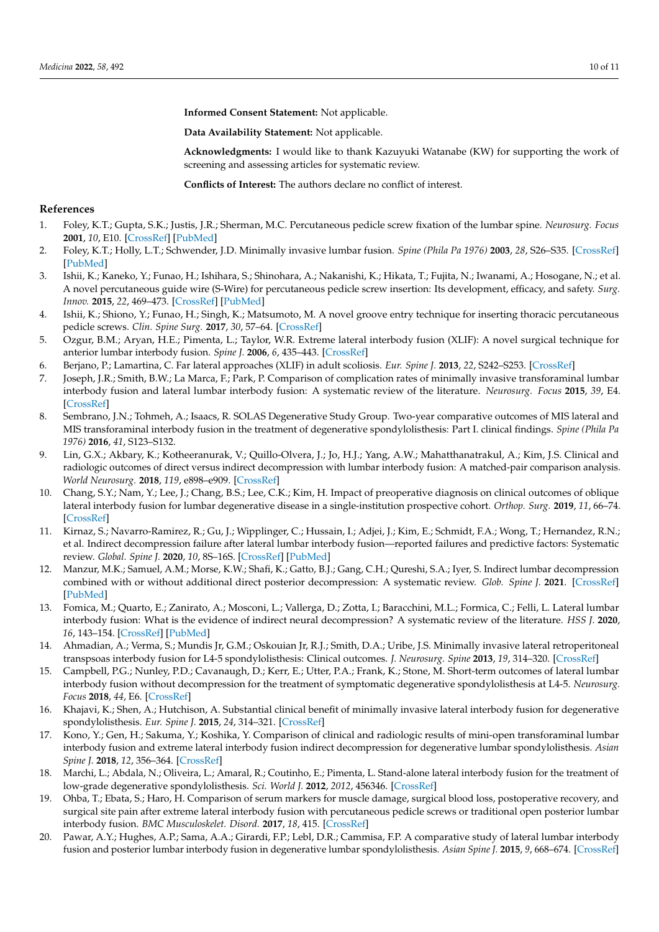**Informed Consent Statement:** Not applicable.

**Data Availability Statement:** Not applicable.

**Acknowledgments:** I would like to thank Kazuyuki Watanabe (KW) for supporting the work of screening and assessing articles for systematic review.

**Conflicts of Interest:** The authors declare no conflict of interest.

#### **References**

- <span id="page-9-0"></span>1. Foley, K.T.; Gupta, S.K.; Justis, J.R.; Sherman, M.C. Percutaneous pedicle screw fixation of the lumbar spine. *Neurosurg. Focus* **2001**, *10*, E10. [\[CrossRef\]](http://doi.org/10.3171/foc.2001.10.4.11) [\[PubMed\]](http://www.ncbi.nlm.nih.gov/pubmed/16732626)
- 2. Foley, K.T.; Holly, L.T.; Schwender, J.D. Minimally invasive lumbar fusion. *Spine (Phila Pa 1976)* **2003**, *28*, S26–S35. [\[CrossRef\]](http://doi.org/10.1097/01.BRS.0000076895.52418.5E) [\[PubMed\]](http://www.ncbi.nlm.nih.gov/pubmed/12897471)
- 3. Ishii, K.; Kaneko, Y.; Funao, H.; Ishihara, S.; Shinohara, A.; Nakanishi, K.; Hikata, T.; Fujita, N.; Iwanami, A.; Hosogane, N.; et al. A novel percutaneous guide wire (S-Wire) for percutaneous pedicle screw insertion: Its development, efficacy, and safety. *Surg. Innov.* **2015**, *22*, 469–473. [\[CrossRef\]](http://doi.org/10.1177/1553350614560271) [\[PubMed\]](http://www.ncbi.nlm.nih.gov/pubmed/25432881)
- <span id="page-9-1"></span>4. Ishii, K.; Shiono, Y.; Funao, H.; Singh, K.; Matsumoto, M. A novel groove entry technique for inserting thoracic percutaneous pedicle screws. *Clin. Spine Surg.* **2017**, *30*, 57–64. [\[CrossRef\]](http://doi.org/10.1097/BSD.0000000000000461)
- <span id="page-9-2"></span>5. Ozgur, B.M.; Aryan, H.E.; Pimenta, L.; Taylor, W.R. Extreme lateral interbody fusion (XLIF): A novel surgical technique for anterior lumbar interbody fusion. *Spine J.* **2006**, *6*, 435–443. [\[CrossRef\]](http://doi.org/10.1016/j.spinee.2005.08.012)
- <span id="page-9-3"></span>6. Berjano, P.; Lamartina, C. Far lateral approaches (XLIF) in adult scoliosis. *Eur. Spine J.* **2013**, *22*, S242–S253. [\[CrossRef\]](http://doi.org/10.1007/s00586-012-2426-5)
- <span id="page-9-4"></span>7. Joseph, J.R.; Smith, B.W.; La Marca, F.; Park, P. Comparison of complication rates of minimally invasive transforaminal lumbar interbody fusion and lateral lumbar interbody fusion: A systematic review of the literature. *Neurosurg. Focus* **2015**, *39*, E4. [\[CrossRef\]](http://doi.org/10.3171/2015.7.FOCUS15278)
- <span id="page-9-11"></span>8. Sembrano, J.N.; Tohmeh, A.; Isaacs, R. SOLAS Degenerative Study Group. Two-year comparative outcomes of MIS lateral and MIS transforaminal interbody fusion in the treatment of degenerative spondylolisthesis: Part I. clinical findings. *Spine (Phila Pa 1976)* **2016**, *41*, S123–S132.
- <span id="page-9-5"></span>9. Lin, G.X.; Akbary, K.; Kotheeranurak, V.; Quillo-Olvera, J.; Jo, H.J.; Yang, A.W.; Mahatthanatrakul, A.; Kim, J.S. Clinical and radiologic outcomes of direct versus indirect decompression with lumbar interbody fusion: A matched-pair comparison analysis. *World Neurosurg.* **2018**, *119*, e898–e909. [\[CrossRef\]](http://doi.org/10.1016/j.wneu.2018.08.003)
- <span id="page-9-6"></span>10. Chang, S.Y.; Nam, Y.; Lee, J.; Chang, B.S.; Lee, C.K.; Kim, H. Impact of preoperative diagnosis on clinical outcomes of oblique lateral interbody fusion for lumbar degenerative disease in a single-institution prospective cohort. *Orthop. Surg.* **2019**, *11*, 66–74. [\[CrossRef\]](http://doi.org/10.1111/os.12419)
- 11. Kirnaz, S.; Navarro-Ramirez, R.; Gu, J.; Wipplinger, C.; Hussain, I.; Adjei, J.; Kim, E.; Schmidt, F.A.; Wong, T.; Hernandez, R.N.; et al. Indirect decompression failure after lateral lumbar interbody fusion—reported failures and predictive factors: Systematic review. *Global. Spine J.* **2020**, *10*, 8S–16S. [\[CrossRef\]](http://doi.org/10.1177/2192568219876244) [\[PubMed\]](http://www.ncbi.nlm.nih.gov/pubmed/32528813)
- 12. Manzur, M.K.; Samuel, A.M.; Morse, K.W.; Shafi, K.; Gatto, B.J.; Gang, C.H.; Qureshi, S.A.; Iyer, S. Indirect lumbar decompression combined with or without additional direct posterior decompression: A systematic review. *Glob. Spine J.* **2021**. [\[CrossRef\]](http://doi.org/10.1177/21925682211013011) [\[PubMed\]](http://www.ncbi.nlm.nih.gov/pubmed/34011192)
- <span id="page-9-7"></span>13. Fomica, M.; Quarto, E.; Zanirato, A.; Mosconi, L.; Vallerga, D.; Zotta, I.; Baracchini, M.L.; Formica, C.; Felli, L. Lateral lumbar interbody fusion: What is the evidence of indirect neural decompression? A systematic review of the literature. *HSS J.* **2020**, *16*, 143–154. [\[CrossRef\]](http://doi.org/10.1007/s11420-019-09734-7) [\[PubMed\]](http://www.ncbi.nlm.nih.gov/pubmed/32523482)
- <span id="page-9-8"></span>14. Ahmadian, A.; Verma, S.; Mundis Jr, G.M.; Oskouian Jr, R.J.; Smith, D.A.; Uribe, J.S. Minimally invasive lateral retroperitoneal transpsoas interbody fusion for L4-5 spondylolisthesis: Clinical outcomes. *J. Neurosurg. Spine* **2013**, *19*, 314–320. [\[CrossRef\]](http://doi.org/10.3171/2013.6.SPINE1340)
- 15. Campbell, P.G.; Nunley, P.D.; Cavanaugh, D.; Kerr, E.; Utter, P.A.; Frank, K.; Stone, M. Short-term outcomes of lateral lumbar interbody fusion without decompression for the treatment of symptomatic degenerative spondylolisthesis at L4-5. *Neurosurg. Focus* **2018**, *44*, E6. [\[CrossRef\]](http://doi.org/10.3171/2017.10.FOCUS17566)
- 16. Khajavi, K.; Shen, A.; Hutchison, A. Substantial clinical benefit of minimally invasive lateral interbody fusion for degenerative spondylolisthesis. *Eur. Spine J.* **2015**, *24*, 314–321. [\[CrossRef\]](http://doi.org/10.1007/s00586-015-3841-1)
- <span id="page-9-9"></span>17. Kono, Y.; Gen, H.; Sakuma, Y.; Koshika, Y. Comparison of clinical and radiologic results of mini-open transforaminal lumbar interbody fusion and extreme lateral interbody fusion indirect decompression for degenerative lumbar spondylolisthesis. *Asian Spine J.* **2018**, *12*, 356–364. [\[CrossRef\]](http://doi.org/10.4184/asj.2018.12.2.356)
- 18. Marchi, L.; Abdala, N.; Oliveira, L.; Amaral, R.; Coutinho, E.; Pimenta, L. Stand-alone lateral interbody fusion for the treatment of low-grade degenerative spondylolisthesis. *Sci. World J.* **2012**, *2012*, 456346. [\[CrossRef\]](http://doi.org/10.1100/2012/456346)
- <span id="page-9-10"></span>19. Ohba, T.; Ebata, S.; Haro, H. Comparison of serum markers for muscle damage, surgical blood loss, postoperative recovery, and surgical site pain after extreme lateral interbody fusion with percutaneous pedicle screws or traditional open posterior lumbar interbody fusion. *BMC Musculoskelet. Disord.* **2017**, *18*, 415. [\[CrossRef\]](http://doi.org/10.1186/s12891-017-1775-y)
- <span id="page-9-12"></span>20. Pawar, A.Y.; Hughes, A.P.; Sama, A.A.; Girardi, F.P.; Lebl, D.R.; Cammisa, F.P. A comparative study of lateral lumbar interbody fusion and posterior lumbar interbody fusion in degenerative lumbar spondylolisthesis. *Asian Spine J.* **2015**, *9*, 668–674. [\[CrossRef\]](http://doi.org/10.4184/asj.2015.9.5.668)